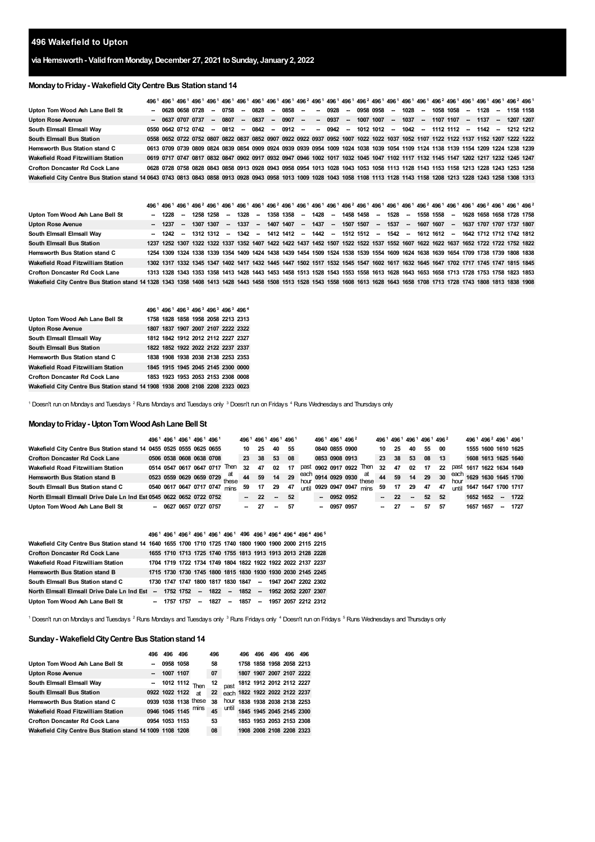## **Wakefield to Upton**

# **via Hemsworth- ValidfromMonday,December 27, 2021 toSunday, January2, 2022**

# **MondaytoFriday- WakefieldCityCentre Bus Stationstand14**

| Upton Tom Wood Ash Lane Bell St                                                                                                                                              |  | $-062806580728$     |  | -- 0758 --      | 0828 | - 0858 - - 0928 - 0958 0958 - 1028 -                                                                                              |  |  |  |  |  |  |  | 1058 1058 - 1128 - 1158 1158 |  |
|------------------------------------------------------------------------------------------------------------------------------------------------------------------------------|--|---------------------|--|-----------------|------|-----------------------------------------------------------------------------------------------------------------------------------|--|--|--|--|--|--|--|------------------------------|--|
| <b>Upton Rose Avenue</b>                                                                                                                                                     |  | - 0637 0707 0737    |  | $- 0807 - 0837$ |      | -- 0907 -- -- 0937 -- 1007 1007 -- 1037 -- 1107 1107 -- 1137 --                                                                   |  |  |  |  |  |  |  | 1207 1207                    |  |
| South Elmsall Elmsall Way                                                                                                                                                    |  | 0550 0642 0712 0742 |  |                 |      | -- 0812 -- 0842 -- 0912 -- -- 0942 -- 1012-1012 -- 1042 -- 1112-1112 -- 1142 -- 1212-1212                                         |  |  |  |  |  |  |  |                              |  |
| South Elmsall Bus Station                                                                                                                                                    |  |                     |  |                 |      | 0558 0652 0722 0752 0807 0822 0837 0852 0907 0922 0922 0937 0952 1007 1022 1022 1037 1052 1107 1122 1122 1137 1152 1207 1222 1222 |  |  |  |  |  |  |  |                              |  |
| <b>Hemsworth Bus Station stand C</b>                                                                                                                                         |  |                     |  |                 |      | 0613 0709 0739 0809 0824 0839 0854 0909 0924 0939 0939 0954 1009 1024 1038 1039 1054 1109 1124 1138 1139 1154 1209 1224 1238 1239 |  |  |  |  |  |  |  |                              |  |
| Wakefield Road Fitzwilliam Station                                                                                                                                           |  |                     |  |                 |      | 0619 0717 0747 0817 0832 0847 0902 0917 0932 0947 0946 1002 1017 1032 1045 1047 1102 1117 1132 1145 1147 1202 1217 1232 1245 1247 |  |  |  |  |  |  |  |                              |  |
| <b>Crofton Doncaster Rd Cock Lane</b>                                                                                                                                        |  |                     |  |                 |      | 0628 0728 0758 0828 0843 0858 0913 0928 0943 0958 0954 1013 1028 1043 1053 1058 1113 1128 1143 1153 1158 1213 1228 1243 1253 1258 |  |  |  |  |  |  |  |                              |  |
| Wakefield City Centre Bus Station stand 14 0643 0743 0813 0843 0858 0913 0928 0943 0958 1013 1009 1028 1043 1058 1108 1113 1128 1143 1158 1208 1213 1228 1243 1258 1308 1313 |  |                     |  |                 |      |                                                                                                                                   |  |  |  |  |  |  |  |                              |  |

|                                                                                                                                                                              | 496 <sup>1</sup> 496 <sup>1</sup> 496 <sup>1</sup> 496 <sup>2</sup> 496 <sup>1</sup> 496 <sup>1</sup> 496 <sup>1</sup> 496 <sup>1</sup> 496 <sup>2</sup> 496 <sup>2</sup> 496 <sup>1</sup> 496 <sup>2</sup> 496 <sup>1</sup> 496 <sup>2</sup> 496 <sup>1</sup> 496 <sup>2</sup> 496 <sup>1</sup> 496 <sup>2</sup> 496 <sup>1</sup> 496 <sup>2</sup> 496 <sup>2</sup> 496 <sup>2</sup> 496 <sup>2</sup> 496 <sup>2</sup> 496 <sup>2</sup> 496 <sup>2</sup> 496 <sup>2</sup> |  |                                                                                                                                   |  |  |  |  |  |  |  |  |  |  |  |
|------------------------------------------------------------------------------------------------------------------------------------------------------------------------------|----------------------------------------------------------------------------------------------------------------------------------------------------------------------------------------------------------------------------------------------------------------------------------------------------------------------------------------------------------------------------------------------------------------------------------------------------------------------------|--|-----------------------------------------------------------------------------------------------------------------------------------|--|--|--|--|--|--|--|--|--|--|--|
| Upton Tom Wood Ash Lane Bell St                                                                                                                                              |                                                                                                                                                                                                                                                                                                                                                                                                                                                                            |  | - 1228 - 1258 1258 -- 1328 -- 1358 1358 -- 1428 -- 1458 1458 -- 1528 -- 1558 1558 -- 1628 1658 1658 1728 1758                     |  |  |  |  |  |  |  |  |  |  |  |
| <b>Upton Rose Avenue</b>                                                                                                                                                     |                                                                                                                                                                                                                                                                                                                                                                                                                                                                            |  | - 1237 - 1307 1307 -- 1337 -- 1407 1407 -- 1437 -- 1507 1507 -- 1537 -- 1607 1607 -- 1637 1707 1707 1737 1807                     |  |  |  |  |  |  |  |  |  |  |  |
| South Elmsall Elmsall Way                                                                                                                                                    |                                                                                                                                                                                                                                                                                                                                                                                                                                                                            |  | -- 1242 -- 1312 1312 -- 1342 -- 1412 1412 -- 1442 -- 1512 1512 -- 1542 -- 1612 1612 -- 1642 1712 1712 1712 1812                   |  |  |  |  |  |  |  |  |  |  |  |
| South Elmsall Bus Station                                                                                                                                                    |                                                                                                                                                                                                                                                                                                                                                                                                                                                                            |  | 1237 1252 1307 1322 1322 1337 1352 1407 1422 1422 1437 1452 1507 1522 1522 1537 1552 1607 1622 1622 1637 1652 1722 1722 1752 1822 |  |  |  |  |  |  |  |  |  |  |  |
| Hemsworth Bus Station stand C                                                                                                                                                |                                                                                                                                                                                                                                                                                                                                                                                                                                                                            |  | 1254 1309 1324 1338 1339 1354 1409 1424 1438 1439 1454 1509 1524 1538 1539 1554 1609 1624 1638 1639 1654 1709 1738 1739 1808 1838 |  |  |  |  |  |  |  |  |  |  |  |
| Wakefield Road Fitzwilliam Station                                                                                                                                           |                                                                                                                                                                                                                                                                                                                                                                                                                                                                            |  | 1302 1317 1332 1345 1347 1402 1417 1432 1445 1447 1502 1517 1532 1545 1547 1602 1617 1632 1645 1647 1702 1717 1745 1747 1815 1845 |  |  |  |  |  |  |  |  |  |  |  |
| <b>Crofton Doncaster Rd Cock Lane</b>                                                                                                                                        |                                                                                                                                                                                                                                                                                                                                                                                                                                                                            |  | 1313 1328 1343 1353 1358 1413 1428 1443 1453 1458 1513 1528 1543 1553 1558 1613 1628 1643 1653 1658 1713 1728 1753 1758 1823 1853 |  |  |  |  |  |  |  |  |  |  |  |
| Wakefield City Centre Bus Station stand 14 1328 1343 1358 1408 1413 1428 1443 1458 1508 1513 1528 1543 1558 1608 1613 1628 1643 1658 1708 1713 1728 1743 1808 1813 1838 1908 |                                                                                                                                                                                                                                                                                                                                                                                                                                                                            |  |                                                                                                                                   |  |  |  |  |  |  |  |  |  |  |  |

|                                                                               | 496 <sup>1</sup> 496 <sup>1</sup> 496 <sup>3</sup> 496 <sup>3</sup> 496 <sup>3</sup> 496 <sup>3</sup> 496 <sup>4</sup> |  |  |  |
|-------------------------------------------------------------------------------|------------------------------------------------------------------------------------------------------------------------|--|--|--|
| Upton Tom Wood Ash Lane Bell St                                               | 1758 1828 1858 1958 2058 2213 2313                                                                                     |  |  |  |
| <b>Upton Rose Avenue</b>                                                      | 1807 1837 1907 2007 2107 2222 2322                                                                                     |  |  |  |
| South Elmsall Elmsall Way                                                     | 1812 1842 1912 2012 2112 2227 2327                                                                                     |  |  |  |
| <b>South Elmsall Bus Station</b>                                              | 1822 1852 1922 2022 2122 2237 2337                                                                                     |  |  |  |
| <b>Hemsworth Bus Station stand C</b>                                          | 1838 1908 1938 2038 2138 2253 2353                                                                                     |  |  |  |
| Wakefield Road Fitzwilliam Station                                            | 1845 1915 1945 2045 2145 2300 0000                                                                                     |  |  |  |
| <b>Crofton Doncaster Rd Cock Lane</b>                                         | 1853 1923 1953 2053 2153 2308 0008                                                                                     |  |  |  |
| Wakefield City Centre Bus Station stand 14 1908 1938 2008 2108 2208 2323 0023 |                                                                                                                        |  |  |  |

<span id="page-0-3"></span><span id="page-0-2"></span><span id="page-0-1"></span><span id="page-0-0"></span> $^1$  Doesn't run on Mondays and Tuesdays  $^2$  Runs Mondays and Tuesdays only  $^3$  Doesn't run on Fridays  $^4$  Runs Wednesdays and Thursdays only

#### **MondaytoFriday- UptonTom WoodAshLane Bell St**

|                                                                      |  | 496 <sup>1</sup> 496 <sup>1</sup> 496 <sup>1</sup> 496 <sup>1</sup> 496 <sup>1</sup> |                          |                               |    | 496 <sup>1</sup> 496 <sup>1</sup> 496 <sup>1</sup> 496 <sup>1</sup> |    |       |  | 496 <sup>1</sup> 496 <sup>1</sup> 496 <sup>2</sup>                                                           |    | 496 <sup>1</sup> 496 <sup>1</sup> 496 <sup>1</sup> 496 <sup>1</sup> 496 <sup>2</sup> |          |    |      |              | 496 <sup>1</sup> 496 <sup>2</sup> 496 <sup>1</sup> 496 <sup>1</sup> |        |      |
|----------------------------------------------------------------------|--|--------------------------------------------------------------------------------------|--------------------------|-------------------------------|----|---------------------------------------------------------------------|----|-------|--|--------------------------------------------------------------------------------------------------------------|----|--------------------------------------------------------------------------------------|----------|----|------|--------------|---------------------------------------------------------------------|--------|------|
| Wakefield City Centre Bus Station stand 14 0455 0525 0555 0625 0655  |  |                                                                                      |                          |                               |    | 10 25                                                               | 40 | - 55  |  | 0840 0855 0900                                                                                               | 10 | -25                                                                                  | 40       | 55 | - 00 |              | 1555 1600 1610 1625                                                 |        |      |
| <b>Crofton Doncaster Rd Cock Lane</b>                                |  |                                                                                      | 0506 0538 0608 0638 0708 |                               |    | 23 38                                                               | 53 | 08    |  | 0853 0908 0913                                                                                               |    | 23 38 53                                                                             |          | 08 | 13   |              | 1608 1613 1625 1640                                                 |        |      |
| Wakefield Road Fitzwilliam Station                                   |  |                                                                                      | 0514 0547 0617 0647 0717 | Then                          | 32 | 47                                                                  | 02 | 17    |  | past 0902 0917 0922 Then                                                                                     | 32 | 47                                                                                   | 02 17    |    | 22   | past         | 1617 1622 1634 1649                                                 |        |      |
| <b>Hemsworth Bus Station stand B</b>                                 |  |                                                                                      |                          |                               |    |                                                                     |    |       |  | 0523 0559 0629 0659 0729 these 44 59 14 29 each 0914 0929 0930 these 44 59 14 29 30 each 1629 1630 1645 1700 |    |                                                                                      |          |    |      |              |                                                                     |        |      |
| South Elmsall Bus Station stand C                                    |  |                                                                                      |                          | 0540 0617 0647 0717 0747 mins | 59 | 17                                                                  | 29 | 47    |  | until 0929 0947 0947 mins                                                                                    | 59 |                                                                                      | 17 29 47 |    | 47   | <b>until</b> | 1647 1647 1700 1717                                                 |        |      |
| North Elmsall Elmsall Drive Dale Ln Ind Est 0545 0622 0652 0722 0752 |  |                                                                                      |                          |                               |    | $-22$                                                               |    | $-52$ |  | $-09520952$                                                                                                  |    | $-22 - 52 52$                                                                        |          |    |      |              | 1652 1652 - 1722                                                    |        |      |
| Upton Tom Wood Ash Lane Bell St                                      |  |                                                                                      | $-0627065707270757$      |                               |    | $-27$                                                               |    | $-57$ |  | $-09570957$                                                                                                  |    | $-27$                                                                                | $\sim$   | 57 | 57   |              | 1657 1657                                                           | $\sim$ | 1727 |

|                                                                                                        |  |  |  |  |  | 496 <sup>1</sup> 496 <sup>1</sup> 496 <sup>2</sup> 496 <sup>1</sup> 496 <sup>1</sup> 496 <sup>1</sup> 496 <sup>4</sup> 496 <sup>3</sup> 496 <sup>4</sup> 496 <sup>4</sup> 496 <sup>4</sup> 496 <sup>5</sup> |                                                    |
|--------------------------------------------------------------------------------------------------------|--|--|--|--|--|-------------------------------------------------------------------------------------------------------------------------------------------------------------------------------------------------------------|----------------------------------------------------|
| Wakefield City Centre Bus Station stand 14 1640 1655 1700 1710 1725 1740 1800 1900 1900 2000 2115 2215 |  |  |  |  |  |                                                                                                                                                                                                             |                                                    |
| <b>Crofton Doncaster Rd Cock Lane</b>                                                                  |  |  |  |  |  | 1655 1710 1713 1725 1740 1755 1813 1913 1913 2013 2128 2228                                                                                                                                                 |                                                    |
| Wakefield Road Fitzwilliam Station                                                                     |  |  |  |  |  | 1704 1719 1722 1734 1749 1804 1822 1922 1922 2022 2137 2237                                                                                                                                                 |                                                    |
| <b>Hemsworth Bus Station stand B</b>                                                                   |  |  |  |  |  | 1715 1730 1730 1745 1800 1815 1830 1930 1930 2030 2145 2245                                                                                                                                                 |                                                    |
| South Elmsall Bus Station stand C                                                                      |  |  |  |  |  | 1730 1747 1747 1800 1817 1830 1847 -- 1947 2047 2202 2302                                                                                                                                                   |                                                    |
| North Elmsall Elmsall Drive Dale Ln Ind Est - 1752 1752 -- 1822 -- 1852 -- 1952 2052 2207 2307         |  |  |  |  |  |                                                                                                                                                                                                             |                                                    |
| Upton Tom Wood Ash Lane Bell St                                                                        |  |  |  |  |  |                                                                                                                                                                                                             | - 1757 1757 -- 1827 -- 1857 -- 1957 2057 2212 2312 |

<span id="page-0-4"></span><sup>1</sup> Doesn't run on Mondays and Tuesdays <sup>2</sup> Runs Mondays and Tuesdays only <sup>3</sup> Runs Fridays only <sup>4</sup> Doesn't run on Fridays <sup>5</sup> Runs Wednesdays and Thursdays only

## **Sunday- WakefieldCityCentre Bus Stationstand14**

|                                                           | 496 | 496 496                 |           |                      | 496 |       | 496                           | 496 | 496                      | 496 496 |  |
|-----------------------------------------------------------|-----|-------------------------|-----------|----------------------|-----|-------|-------------------------------|-----|--------------------------|---------|--|
| Upton Tom Wood Ash Lane Bell St                           |     | 0958 1058               |           |                      | 58  |       |                               |     | 1758 1858 1958 2058 2213 |         |  |
| <b>Upton Rose Avenue</b>                                  |     |                         | 1007 1107 |                      | 07  |       |                               |     | 1807 1907 2007 2107 2222 |         |  |
| South Elmsall Elmsall Way                                 |     | 1012 1112 $\frac{1}{2}$ |           | Then                 | 12  | past  | 1812 1912 2012 2112 2227      |     |                          |         |  |
| <b>South Elmsall Bus Station</b>                          |     | 0922 1022 1122          |           | <b>at</b>            | 22  |       | each 1822 1922 2022 2122 2237 |     |                          |         |  |
| Hemsworth Bus Station stand C                             |     |                         |           | 0939 1038 1138 these | 38  |       | hour 1838 1938 2038 2138 2253 |     |                          |         |  |
| Wakefield Road Fitzwilliam Station                        |     |                         |           | 0946 1045 1145 mins  | 45  | until |                               |     | 1845 1945 2045 2145 2300 |         |  |
| <b>Crofton Doncaster Rd Cock Lane</b>                     |     | 0954 1053 1153          |           |                      | 53  |       |                               |     | 1853 1953 2053 2153 2308 |         |  |
| Wakefield City Centre Bus Station stand 14 1009 1108 1208 |     |                         |           |                      | 08  |       |                               |     | 1908 2008 2108 2208 2323 |         |  |